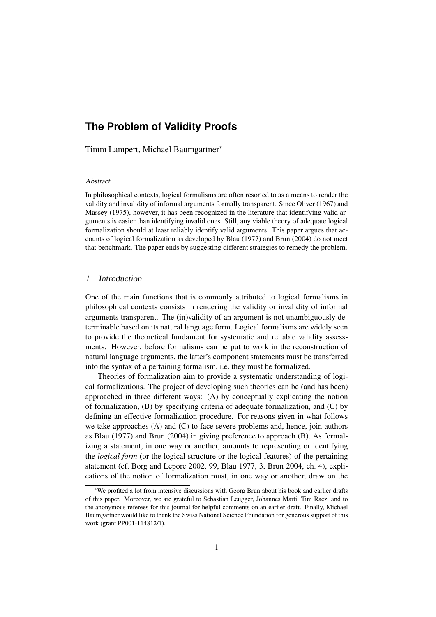# **The Problem of Validity Proofs**

Timm Lampert, Michael Baumgartner<sup>∗</sup>

#### Abstract

In philosophical contexts, logical formalisms are often resorted to as a means to render the validity and invalidity of informal arguments formally transparent. Since Oliver (1967) and Massey (1975), however, it has been recognized in the literature that identifying valid arguments is easier than identifying invalid ones. Still, any viable theory of adequate logical formalization should at least reliably identify valid arguments. This paper argues that accounts of logical formalization as developed by Blau (1977) and Brun (2004) do not meet that benchmark. The paper ends by suggesting different strategies to remedy the problem.

# 1 Introduction

One of the main functions that is commonly attributed to logical formalisms in philosophical contexts consists in rendering the validity or invalidity of informal arguments transparent. The (in)validity of an argument is not unambiguously determinable based on its natural language form. Logical formalisms are widely seen to provide the theoretical fundament for systematic and reliable validity assessments. However, before formalisms can be put to work in the reconstruction of natural language arguments, the latter's component statements must be transferred into the syntax of a pertaining formalism, i.e. they must be formalized.

Theories of formalization aim to provide a systematic understanding of logical formalizations. The project of developing such theories can be (and has been) approached in three different ways: (A) by conceptually explicating the notion of formalization, (B) by specifying criteria of adequate formalization, and (C) by defining an effective formalization procedure. For reasons given in what follows we take approaches (A) and (C) to face severe problems and, hence, join authors as Blau (1977) and Brun (2004) in giving preference to approach (B). As formalizing a statement, in one way or another, amounts to representing or identifying the *logical form* (or the logical structure or the logical features) of the pertaining statement (cf. Borg and Lepore 2002, 99, Blau 1977, 3, Brun 2004, ch. 4), explications of the notion of formalization must, in one way or another, draw on the

<sup>∗</sup>We profited a lot from intensive discussions with Georg Brun about his book and earlier drafts of this paper. Moreover, we are grateful to Sebastian Leugger, Johannes Marti, Tim Raez, and to the anonymous referees for this journal for helpful comments on an earlier draft. Finally, Michael Baumgartner would like to thank the Swiss National Science Foundation for generous support of this work (grant PP001-114812/1).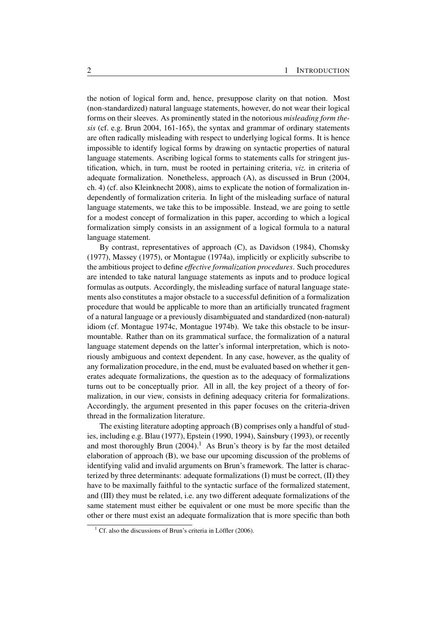the notion of logical form and, hence, presuppose clarity on that notion. Most (non-standardized) natural language statements, however, do not wear their logical forms on their sleeves. As prominently stated in the notorious *misleading form thesis* (cf. e.g. Brun 2004, 161-165), the syntax and grammar of ordinary statements are often radically misleading with respect to underlying logical forms. It is hence impossible to identify logical forms by drawing on syntactic properties of natural language statements. Ascribing logical forms to statements calls for stringent justification, which, in turn, must be rooted in pertaining criteria, *viz.* in criteria of adequate formalization. Nonetheless, approach (A), as discussed in Brun (2004, ch. 4) (cf. also Kleinknecht 2008), aims to explicate the notion of formalization independently of formalization criteria. In light of the misleading surface of natural language statements, we take this to be impossible. Instead, we are going to settle for a modest concept of formalization in this paper, according to which a logical formalization simply consists in an assignment of a logical formula to a natural language statement.

By contrast, representatives of approach (C), as Davidson (1984), Chomsky (1977), Massey (1975), or Montague (1974a), implicitly or explicitly subscribe to the ambitious project to define *effective formalization procedures*. Such procedures are intended to take natural language statements as inputs and to produce logical formulas as outputs. Accordingly, the misleading surface of natural language statements also constitutes a major obstacle to a successful definition of a formalization procedure that would be applicable to more than an artificially truncated fragment of a natural language or a previously disambiguated and standardized (non-natural) idiom (cf. Montague 1974c, Montague 1974b). We take this obstacle to be insurmountable. Rather than on its grammatical surface, the formalization of a natural language statement depends on the latter's informal interpretation, which is notoriously ambiguous and context dependent. In any case, however, as the quality of any formalization procedure, in the end, must be evaluated based on whether it generates adequate formalizations, the question as to the adequacy of formalizations turns out to be conceptually prior. All in all, the key project of a theory of formalization, in our view, consists in defining adequacy criteria for formalizations. Accordingly, the argument presented in this paper focuses on the criteria-driven thread in the formalization literature.

The existing literature adopting approach (B) comprises only a handful of studies, including e.g. Blau (1977), Epstein (1990, 1994), Sainsbury (1993), or recently and most thoroughly Brun  $(2004)$ .<sup>1</sup> As Brun's theory is by far the most detailed elaboration of approach (B), we base our upcoming discussion of the problems of identifying valid and invalid arguments on Brun's framework. The latter is characterized by three determinants: adequate formalizations (I) must be correct, (II) they have to be maximally faithful to the syntactic surface of the formalized statement, and (III) they must be related, i.e. any two different adequate formalizations of the same statement must either be equivalent or one must be more specific than the other or there must exist an adequate formalization that is more specific than both

 $1 \text{ Cf.}$  also the discussions of Brun's criteria in Löffler (2006).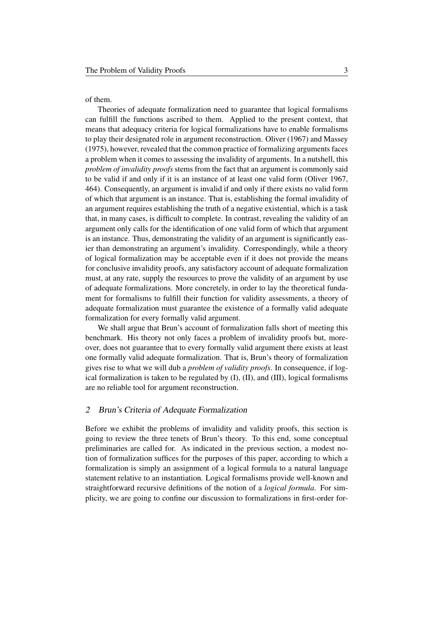of them.

Theories of adequate formalization need to guarantee that logical formalisms can fulfill the functions ascribed to them. Applied to the present context, that means that adequacy criteria for logical formalizations have to enable formalisms to play their designated role in argument reconstruction. Oliver (1967) and Massey (1975), however, revealed that the common practice of formalizing arguments faces a problem when it comes to assessing the invalidity of arguments. In a nutshell, this *problem of invalidity proofs* stems from the fact that an argument is commonly said to be valid if and only if it is an instance of at least one valid form (Oliver 1967, 464). Consequently, an argument is invalid if and only if there exists no valid form of which that argument is an instance. That is, establishing the formal invalidity of an argument requires establishing the truth of a negative existential, which is a task that, in many cases, is difficult to complete. In contrast, revealing the validity of an argument only calls for the identification of one valid form of which that argument is an instance. Thus, demonstrating the validity of an argument is significantly easier than demonstrating an argument's invalidity. Correspondingly, while a theory of logical formalization may be acceptable even if it does not provide the means for conclusive invalidity proofs, any satisfactory account of adequate formalization must, at any rate, supply the resources to prove the validity of an argument by use of adequate formalizations. More concretely, in order to lay the theoretical fundament for formalisms to fulfill their function for validity assessments, a theory of adequate formalization must guarantee the existence of a formally valid adequate formalization for every formally valid argument.

We shall argue that Brun's account of formalization falls short of meeting this benchmark. His theory not only faces a problem of invalidity proofs but, moreover, does not guarantee that to every formally valid argument there exists at least one formally valid adequate formalization. That is, Brun's theory of formalization gives rise to what we will dub a *problem of validity proofs*. In consequence, if logical formalization is taken to be regulated by (I), (II), and (III), logical formalisms are no reliable tool for argument reconstruction.

## 2 Brun's Criteria of Adequate Formalization

Before we exhibit the problems of invalidity and validity proofs, this section is going to review the three tenets of Brun's theory. To this end, some conceptual preliminaries are called for. As indicated in the previous section, a modest notion of formalization suffices for the purposes of this paper, according to which a formalization is simply an assignment of a logical formula to a natural language statement relative to an instantiation. Logical formalisms provide well-known and straightforward recursive definitions of the notion of a *logical formula*. For simplicity, we are going to confine our discussion to formalizations in first-order for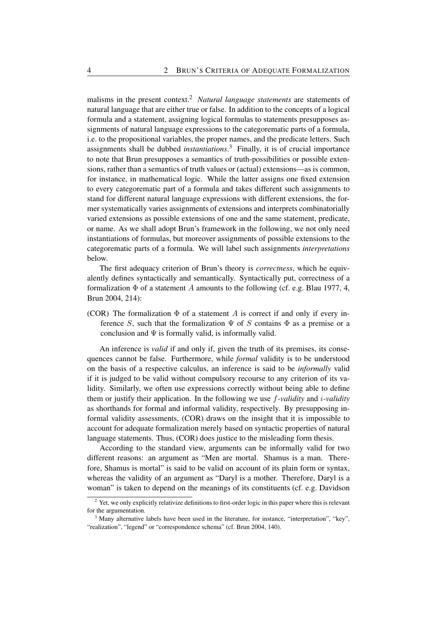malisms in the present context.<sup>2</sup> *Natural language statements* are statements of natural language that are either true or false. In addition to the concepts of a logical formula and a statement, assigning logical formulas to statements presupposes assignments of natural language expressions to the categorematic parts of a formula, i.e. to the propositional variables, the proper names, and the predicate letters. Such assignments shall be dubbed *instantiations*. <sup>3</sup> Finally, it is of crucial importance to note that Brun presupposes a semantics of truth-possibilities or possible extensions, rather than a semantics of truth values or (actual) extensions—as is common, for instance, in mathematical logic. While the latter assigns one fixed extension to every categorematic part of a formula and takes different such assignments to stand for different natural language expressions with different extensions, the former systematically varies assignments of extensions and interprets combinatorially varied extensions as possible extensions of one and the same statement, predicate, or name. As we shall adopt Brun's framework in the following, we not only need instantiations of formulas, but moreover assignments of possible extensions to the categorematic parts of a formula. We will label such assignments *interpretations* below.

The first adequacy criterion of Brun's theory is *correctness*, which he equivalently defines syntactically and semantically. Syntactically put, correctness of a formalization  $\Phi$  of a statement A amounts to the following (cf. e.g. Blau 1977, 4, Brun 2004, 214):

(COR) The formalization  $\Phi$  of a statement A is correct if and only if every inference S, such that the formalization  $\Psi$  of S contains  $\Phi$  as a premise or a conclusion and  $\Psi$  is formally valid, is informally valid.

An inference is *valid* if and only if, given the truth of its premises, its consequences cannot be false. Furthermore, while *formal* validity is to be understood on the basis of a respective calculus, an inference is said to be *informally* valid if it is judged to be valid without compulsory recourse to any criterion of its validity. Similarly, we often use expressions correctly without being able to define them or justify their application. In the following we use f*-validity* and i*-validity* as shorthands for formal and informal validity, respectively. By presupposing informal validity assessments, (COR) draws on the insight that it is impossible to account for adequate formalization merely based on syntactic properties of natural language statements. Thus, (COR) does justice to the misleading form thesis.

According to the standard view, arguments can be informally valid for two different reasons: an argument as "Men are mortal. Shamus is a man. Therefore, Shamus is mortal" is said to be valid on account of its plain form or syntax, whereas the validity of an argument as "Daryl is a mother. Therefore, Daryl is a woman" is taken to depend on the meanings of its constituents (cf. e.g. Davidson

 $2$  Yet, we only explicitly relativize definitions to first-order logic in this paper where this is relevant for the argumentation.

<sup>&</sup>lt;sup>3</sup> Many alternative labels have been used in the literature, for instance, "interpretation", "key". "realization", "legend" or "correspondence schema" (cf. Brun 2004, 140).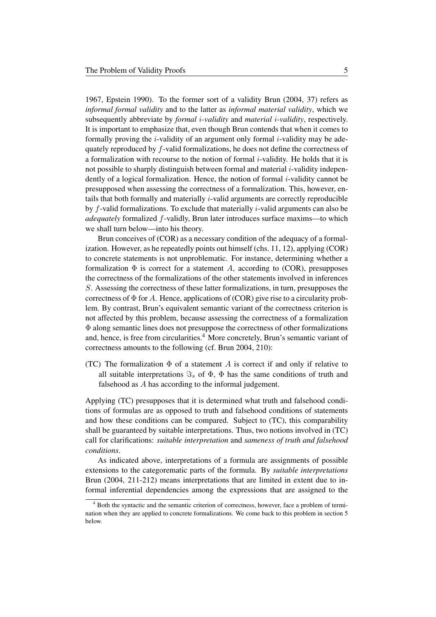1967, Epstein 1990). To the former sort of a validity Brun (2004, 37) refers as *informal formal validity* and to the latter as *informal material validity*, which we subsequently abbreviate by *formal* i*-validity* and *material* i*-validity*, respectively. It is important to emphasize that, even though Brun contends that when it comes to formally proving the  $i$ -validity of an argument only formal  $i$ -validity may be adequately reproduced by f-valid formalizations, he does not define the correctness of a formalization with recourse to the notion of formal  $i$ -validity. He holds that it is not possible to sharply distinguish between formal and material  $i$ -validity independently of a logical formalization. Hence, the notion of formal  $i$ -validity cannot be presupposed when assessing the correctness of a formalization. This, however, entails that both formally and materially  $i$ -valid arguments are correctly reproducible by  $f$ -valid formalizations. To exclude that materially *i*-valid arguments can also be *adequately* formalized f-validly, Brun later introduces surface maxims—to which we shall turn below—into his theory.

Brun conceives of (COR) as a necessary condition of the adequacy of a formalization. However, as he repeatedly points out himself (chs. 11, 12), applying (COR) to concrete statements is not unproblematic. For instance, determining whether a formalization  $\Phi$  is correct for a statement A, according to (COR), presupposes the correctness of the formalizations of the other statements involved in inferences S. Assessing the correctness of these latter formalizations, in turn, presupposes the correctness of  $\Phi$  for A. Hence, applications of (COR) give rise to a circularity problem. By contrast, Brun's equivalent semantic variant of the correctness criterion is not affected by this problem, because assessing the correctness of a formalization Φ along semantic lines does not presuppose the correctness of other formalizations and, hence, is free from circularities.<sup>4</sup> More concretely, Brun's semantic variant of correctness amounts to the following (cf. Brun 2004, 210):

(TC) The formalization  $\Phi$  of a statement A is correct if and only if relative to all suitable interpretations  $\Im_s$  of  $\Phi$ ,  $\Phi$  has the same conditions of truth and falsehood as A has according to the informal judgement.

Applying (TC) presupposes that it is determined what truth and falsehood conditions of formulas are as opposed to truth and falsehood conditions of statements and how these conditions can be compared. Subject to (TC), this comparability shall be guaranteed by suitable interpretations. Thus, two notions involved in (TC) call for clarifications: *suitable interpretation* and *sameness of truth and falsehood conditions*.

As indicated above, interpretations of a formula are assignments of possible extensions to the categorematic parts of the formula. By *suitable interpretations* Brun (2004, 211-212) means interpretations that are limited in extent due to informal inferential dependencies among the expressions that are assigned to the

<sup>4</sup> Both the syntactic and the semantic criterion of correctness, however, face a problem of termination when they are applied to concrete formalizations. We come back to this problem in section 5 below.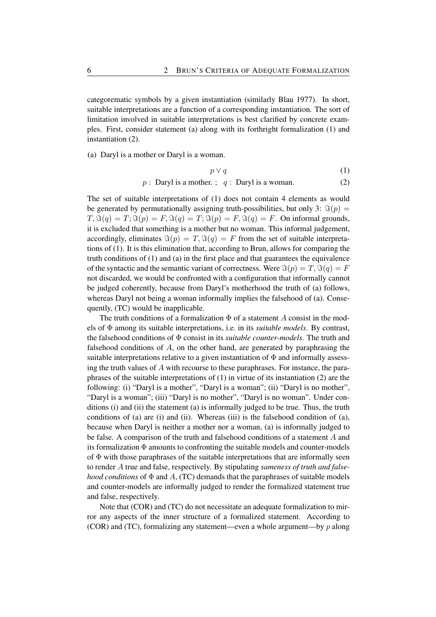categorematic symbols by a given instantiation (similarly Blau 1977). In short, suitable interpretations are a function of a corresponding instantiation. The sort of limitation involved in suitable interpretations is best clarified by concrete examples. First, consider statement (a) along with its forthright formalization (1) and instantiation (2).

(a) Daryl is a mother or Daryl is a woman.

$$
p \lor q \tag{1}
$$

$$
p: \text{ Daryl is a mother}; \quad q: \text{ Daryl is a woman.} \tag{2}
$$

The set of suitable interpretations of (1) does not contain 4 elements as would be generated by permutationally assigning truth-possibilities, but only 3:  $\Im(p)$  =  $T, \Im(q) = T; \Im(p) = F, \Im(q) = T; \Im(p) = F, \Im(q) = F$ . On informal grounds, it is excluded that something is a mother but no woman. This informal judgement, accordingly, eliminates  $\Im(p) = T$ ,  $\Im(q) = F$  from the set of suitable interpretations of (1). It is this elimination that, according to Brun, allows for comparing the truth conditions of (1) and (a) in the first place and that guarantees the equivalence of the syntactic and the semantic variant of correctness. Were  $\Im(p) = T$ ,  $\Im(q) = F$ not discarded, we would be confronted with a configuration that informally cannot be judged coherently, because from Daryl's motherhood the truth of (a) follows, whereas Daryl not being a woman informally implies the falsehood of (a). Consequently, (TC) would be inapplicable.

The truth conditions of a formalization  $\Phi$  of a statement A consist in the models of Φ among its suitable interpretations, i.e. in its *suitable models*. By contrast, the falsehood conditions of Φ consist in its *suitable counter-models*. The truth and falsehood conditions of  $A$ , on the other hand, are generated by paraphrasing the suitable interpretations relative to a given instantiation of  $\Phi$  and informally assessing the truth values of  $\tilde{A}$  with recourse to these paraphrases. For instance, the paraphrases of the suitable interpretations of (1) in virtue of its instantiation (2) are the following: (i) "Daryl is a mother", "Daryl is a woman"; (ii) "Daryl is no mother", "Daryl is a woman"; (iii) "Daryl is no mother", "Daryl is no woman". Under conditions (i) and (ii) the statement (a) is informally judged to be true. Thus, the truth conditions of (a) are (i) and (ii). Whereas (iii) is the falsehood condition of (a), because when Daryl is neither a mother nor a woman, (a) is informally judged to be false. A comparison of the truth and falsehood conditions of a statement A and its formalization  $\Phi$  amounts to confronting the suitable models and counter-models of  $\Phi$  with those paraphrases of the suitable interpretations that are informally seen to render A true and false, respectively. By stipulating *sameness of truth and falsehood conditions* of Φ and A, (TC) demands that the paraphrases of suitable models and counter-models are informally judged to render the formalized statement true and false, respectively.

Note that (COR) and (TC) do not necessitate an adequate formalization to mirror any aspects of the inner structure of a formalized statement. According to (COR) and (TC), formalizing any statement—even a whole argument—by  $p$  along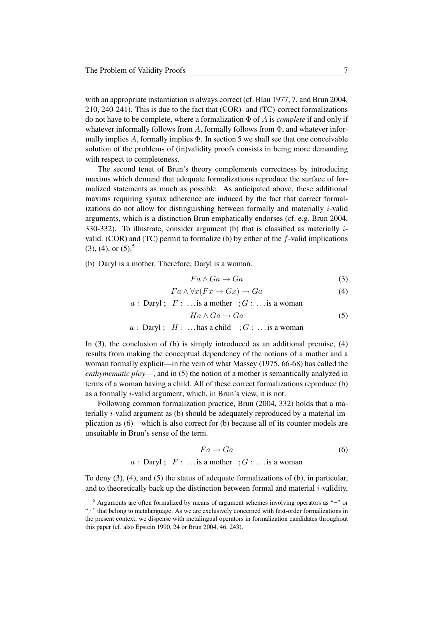with an appropriate instantiation is always correct (cf. Blau 1977, 7, and Brun 2004, 210, 240-241). This is due to the fact that (COR)- and (TC)-correct formalizations do not have to be complete, where a formalization Φ of A is *complete* if and only if whatever informally follows from A, formally follows from  $\Phi$ , and whatever informally implies A, formally implies  $\Phi$ . In section 5 we shall see that one conceivable solution of the problems of (in)validity proofs consists in being more demanding with respect to completeness.

The second tenet of Brun's theory complements correctness by introducing maxims which demand that adequate formalizations reproduce the surface of formalized statements as much as possible. As anticipated above, these additional maxims requiring syntax adherence are induced by the fact that correct formalizations do not allow for distinguishing between formally and materially i-valid arguments, which is a distinction Brun emphatically endorses (cf. e.g. Brun 2004, 330-332). To illustrate, consider argument (b) that is classified as materially  $i$ valid. (COR) and (TC) permit to formalize (b) by either of the f-valid implications  $(3)$ ,  $(4)$ , or  $(5)$ .<sup>5</sup>

(b) Daryl is a mother. Therefore, Daryl is a woman.

$$
Fa \wedge Ga \to Ga \tag{3}
$$

$$
Fa \wedge \forall x (Fx \to Gx) \to Ga \tag{4}
$$

 $a: \text{Daryl}: F: \dots$  is a mother  $: G: \dots$  is a woman

$$
Ha \wedge Ga \to Ga \tag{5}
$$

# $a:$  Daryl;  $H:$  ... has a child  $; G:$  ... is a woman

In  $(3)$ , the conclusion of  $(b)$  is simply introduced as an additional premise,  $(4)$ results from making the conceptual dependency of the notions of a mother and a woman formally explicit—in the vein of what Massey (1975, 66-68) has called the *enthymematic ploy*—, and in (5) the notion of a mother is semantically analyzed in terms of a woman having a child. All of these correct formalizations reproduce (b) as a formally i-valid argument, which, in Brun's view, it is not.

Following common formalization practice, Brun (2004, 332) holds that a materially *i*-valid argument as  $(b)$  should be adequately reproduced by a material implication as (6)—which is also correct for (b) because all of its counter-models are unsuitable in Brun's sense of the term.

$$
Fa \to Ga \tag{6}
$$
  
 $a : \text{Daryl}; \quad F : \dots \text{is a mother } ; G : \dots \text{is a woman}$ 

To deny (3), (4), and (5) the status of adequate formalizations of (b), in particular, and to theoretically back up the distinction between formal and material  $i$ -validity,

 $5$  Arguments are often formalized by means of argument schemes involving operators as " $\vdash$ " or "∴" that belong to metalanguage. As we are exclusively concerned with first-order formalizations in the present context, we dispense with metalingual operators in formalization candidates throughout this paper (cf. also Epstein 1990, 24 or Brun 2004, 46, 243).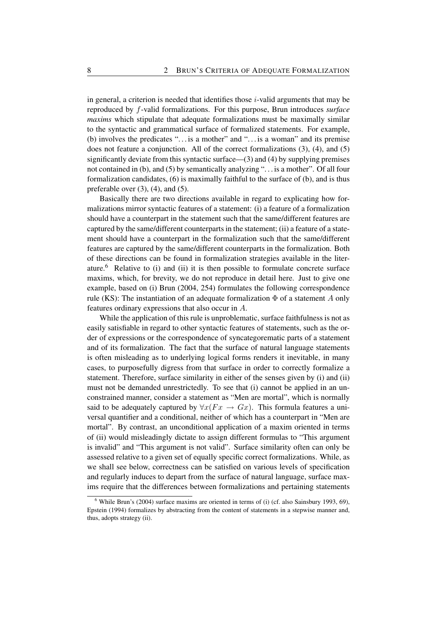in general, a criterion is needed that identifies those  $i$ -valid arguments that may be reproduced by f-valid formalizations. For this purpose, Brun introduces *surface maxims* which stipulate that adequate formalizations must be maximally similar to the syntactic and grammatical surface of formalized statements. For example, (b) involves the predicates ". . . is a mother" and ". . . is a woman" and its premise does not feature a conjunction. All of the correct formalizations (3), (4), and (5) significantly deviate from this syntactic surface—(3) and (4) by supplying premises not contained in (b), and (5) by semantically analyzing ". . . is a mother". Of all four formalization candidates, (6) is maximally faithful to the surface of (b), and is thus preferable over  $(3)$ ,  $(4)$ , and  $(5)$ .

Basically there are two directions available in regard to explicating how formalizations mirror syntactic features of a statement: (i) a feature of a formalization should have a counterpart in the statement such that the same/different features are captured by the same/different counterparts in the statement; (ii) a feature of a statement should have a counterpart in the formalization such that the same/different features are captured by the same/different counterparts in the formalization. Both of these directions can be found in formalization strategies available in the literature.<sup>6</sup> Relative to (i) and (ii) it is then possible to formulate concrete surface maxims, which, for brevity, we do not reproduce in detail here. Just to give one example, based on (i) Brun (2004, 254) formulates the following correspondence rule (KS): The instantiation of an adequate formalization  $\Phi$  of a statement A only features ordinary expressions that also occur in A.

While the application of this rule is unproblematic, surface faithfulness is not as easily satisfiable in regard to other syntactic features of statements, such as the order of expressions or the correspondence of syncategorematic parts of a statement and of its formalization. The fact that the surface of natural language statements is often misleading as to underlying logical forms renders it inevitable, in many cases, to purposefully digress from that surface in order to correctly formalize a statement. Therefore, surface similarity in either of the senses given by (i) and (ii) must not be demanded unrestrictedly. To see that (i) cannot be applied in an unconstrained manner, consider a statement as "Men are mortal", which is normally said to be adequately captured by  $\forall x (Fx \rightarrow Gx)$ . This formula features a universal quantifier and a conditional, neither of which has a counterpart in "Men are mortal". By contrast, an unconditional application of a maxim oriented in terms of (ii) would misleadingly dictate to assign different formulas to "This argument is invalid" and "This argument is not valid". Surface similarity often can only be assessed relative to a given set of equally specific correct formalizations. While, as we shall see below, correctness can be satisfied on various levels of specification and regularly induces to depart from the surface of natural language, surface maxims require that the differences between formalizations and pertaining statements

 $6$  While Brun's (2004) surface maxims are oriented in terms of (i) (cf. also Sainsbury 1993, 69), Epstein (1994) formalizes by abstracting from the content of statements in a stepwise manner and, thus, adopts strategy (ii).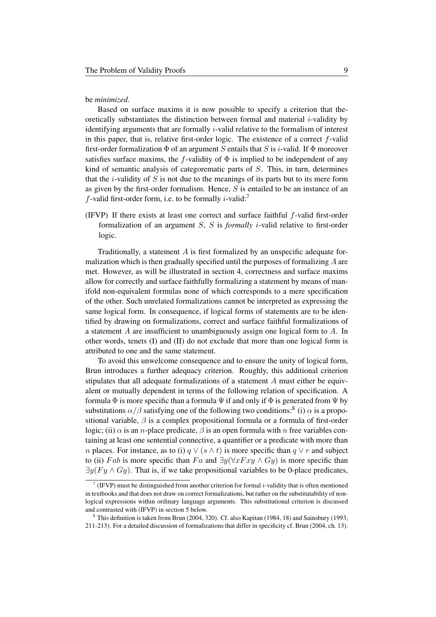#### be *minimized*.

Based on surface maxims it is now possible to specify a criterion that theoretically substantiates the distinction between formal and material  $i$ -validity by identifying arguments that are formally i-valid relative to the formalism of interest in this paper, that is, relative first-order logic. The existence of a correct  $f$ -valid first-order formalization  $\Phi$  of an argument S entails that S is *i*-valid. If  $\Phi$  moreover satisfies surface maxims, the f-validity of  $\Phi$  is implied to be independent of any kind of semantic analysis of categorematic parts of S. This, in turn, determines that the *i*-validity of S is not due to the meanings of its parts but to its mere form as given by the first-order formalism. Hence, S is entailed to be an instance of an f-valid first-order form, i.e. to be formally *i*-valid:<sup>7</sup>

(IFVP) If there exists at least one correct and surface faithful f-valid first-order formalization of an argument S, S is *formally* i-valid relative to first-order logic.

Traditionally, a statement  $A$  is first formalized by an unspecific adequate formalization which is then gradually specified until the purposes of formalizing A are met. However, as will be illustrated in section 4, correctness and surface maxims allow for correctly and surface faithfully formalizing a statement by means of manifold non-equivalent formulas none of which corresponds to a mere specification of the other. Such unrelated formalizations cannot be interpreted as expressing the same logical form. In consequence, if logical forms of statements are to be identified by drawing on formalizations, correct and surface faithful formalizations of a statement A are insufficient to unambiguously assign one logical form to A. In other words, tenets (I) and (II) do not exclude that more than one logical form is attributed to one and the same statement.

To avoid this unwelcome consequence and to ensure the unity of logical form, Brun introduces a further adequacy criterion. Roughly, this additional criterion stipulates that all adequate formalizations of a statement A must either be equivalent or mutually dependent in terms of the following relation of specification. A formula  $\Phi$  is more specific than a formula  $\Psi$  if and only if  $\Phi$  is generated from  $\Psi$  by substitutions  $\alpha/\beta$  satisfying one of the following two conditions:<sup>8</sup> (i)  $\alpha$  is a propositional variable,  $\beta$  is a complex propositional formula or a formula of first-order logic; (ii)  $\alpha$  is an *n*-place predicate,  $\beta$  is an open formula with *n* free variables containing at least one sentential connective, a quantifier or a predicate with more than *n* places. For instance, as to (i)  $q \vee (s \wedge t)$  is more specific than  $q \vee r$  and subject to (ii) Fab is more specific than Fa and  $\exists y(\forall x Fxy \land Gy)$  is more specific than  $\exists y (F y \land Gy)$ . That is, if we take propositional variables to be 0-place predicates,

 $7$  (IFVP) must be distinguished from another criterion for formal *i*-validity that is often mentioned in textbooks and that does not draw on correct formalizations, but rather on the substitutability of nonlogical expressions within ordinary language arguments. This substitutional criterion is discussed and contrasted with (IFVP) in section 5 below.

<sup>8</sup> This definition is taken from Brun (2004, 320). Cf. also Kapitan (1984, 18) and Sainsbury (1993, 211-213). For a detailed discussion of formalizations that differ in specificity cf. Brun (2004, ch. 13).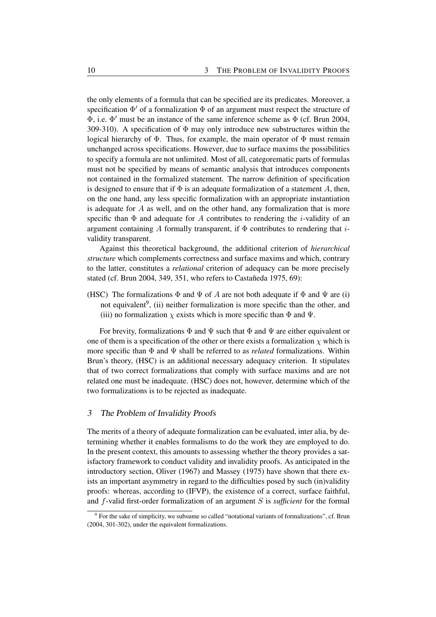the only elements of a formula that can be specified are its predicates. Moreover, a specification  $\Phi'$  of a formalization  $\Phi$  of an argument must respect the structure of  $\Phi$ , i.e.  $\Phi'$  must be an instance of the same inference scheme as  $\Phi$  (cf. Brun 2004, 309-310). A specification of  $\Phi$  may only introduce new substructures within the logical hierarchy of  $\Phi$ . Thus, for example, the main operator of  $\Phi$  must remain unchanged across specifications. However, due to surface maxims the possibilities to specify a formula are not unlimited. Most of all, categorematic parts of formulas must not be specified by means of semantic analysis that introduces components not contained in the formalized statement. The narrow definition of specification is designed to ensure that if  $\Phi$  is an adequate formalization of a statement A, then, on the one hand, any less specific formalization with an appropriate instantiation is adequate for  $A$  as well, and on the other hand, any formalization that is more specific than  $\Phi$  and adequate for A contributes to rendering the *i*-validity of an argument containing A formally transparent, if  $\Phi$  contributes to rendering that *i*validity transparent.

Against this theoretical background, the additional criterion of *hierarchical structure* which complements correctness and surface maxims and which, contrary to the latter, constitutes a *relational* criterion of adequacy can be more precisely stated (cf. Brun 2004, 349, 351, who refers to Castañeda 1975, 69):

(HSC) The formalizations  $\Phi$  and  $\Psi$  of A are not both adequate if  $\Phi$  and  $\Psi$  are (i) not equivalent<sup>9</sup>, (ii) neither formalization is more specific than the other, and (iii) no formalization  $\chi$  exists which is more specific than  $\Phi$  and  $\Psi$ .

For brevity, formalizations  $\Phi$  and  $\Psi$  such that  $\Phi$  and  $\Psi$  are either equivalent or one of them is a specification of the other or there exists a formalization  $\chi$  which is more specific than Φ and Ψ shall be referred to as *related* formalizations. Within Brun's theory, (HSC) is an additional necessary adequacy criterion. It stipulates that of two correct formalizations that comply with surface maxims and are not related one must be inadequate. (HSC) does not, however, determine which of the two formalizations is to be rejected as inadequate.

### 3 The Problem of Invalidity Proofs

The merits of a theory of adequate formalization can be evaluated, inter alia, by determining whether it enables formalisms to do the work they are employed to do. In the present context, this amounts to assessing whether the theory provides a satisfactory framework to conduct validity and invalidity proofs. As anticipated in the introductory section, Oliver (1967) and Massey (1975) have shown that there exists an important asymmetry in regard to the difficulties posed by such (in)validity proofs: whereas, according to (IFVP), the existence of a correct, surface faithful, and f-valid first-order formalization of an argument S is *sufficient* for the formal

<sup>&</sup>lt;sup>9</sup> For the sake of simplicity, we subsume so called "notational variants of formalizations", cf. Brun (2004, 301-302), under the equivalent formalizations.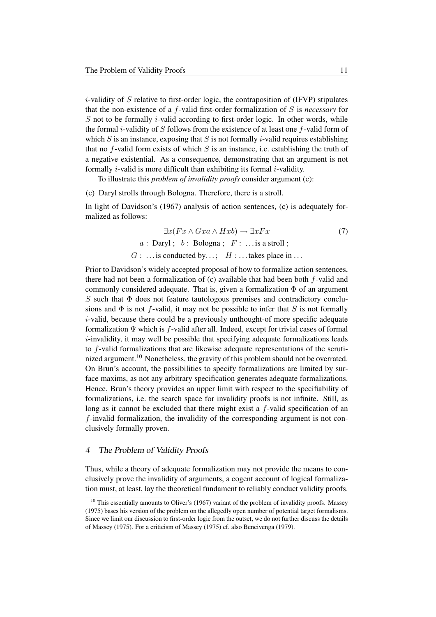$i$ -validity of  $S$  relative to first-order logic, the contraposition of (IFVP) stipulates that the non-existence of a f-valid first-order formalization of S is *necessary* for S not to be formally *i*-valid according to first-order logic. In other words, while the formal *i*-validity of S follows from the existence of at least one  $f$ -valid form of which  $S$  is an instance, exposing that  $S$  is not formally *i*-valid requires establishing that no  $f$ -valid form exists of which  $S$  is an instance, i.e. establishing the truth of a negative existential. As a consequence, demonstrating that an argument is not formally *i*-valid is more difficult than exhibiting its formal *i*-validity.

To illustrate this *problem of invalidity proofs* consider argument (c):

(c) Daryl strolls through Bologna. Therefore, there is a stroll.

In light of Davidson's (1967) analysis of action sentences, (c) is adequately formalized as follows:

$$
\exists x (Fx \land Gxa \land Hxb) \rightarrow \exists xFx
$$
\n(7)  
\na: Daryl; b: Bologna; F: ...is a stroll ;  
\nG: ...is conducted by...; H: ...takes place in ...

Prior to Davidson's widely accepted proposal of how to formalize action sentences, there had not been a formalization of (c) available that had been both f-valid and commonly considered adequate. That is, given a formalization  $\Phi$  of an argument S such that  $\Phi$  does not feature tautologous premises and contradictory conclusions and  $\Phi$  is not f-valid, it may not be possible to infer that S is not formally i-valid, because there could be a previously unthought-of more specific adequate formalization  $\Psi$  which is f-valid after all. Indeed, except for trivial cases of formal i-invalidity, it may well be possible that specifying adequate formalizations leads to f-valid formalizations that are likewise adequate representations of the scrutinized argument.<sup>10</sup> Nonetheless, the gravity of this problem should not be overrated. On Brun's account, the possibilities to specify formalizations are limited by surface maxims, as not any arbitrary specification generates adequate formalizations. Hence, Brun's theory provides an upper limit with respect to the specifiability of formalizations, i.e. the search space for invalidity proofs is not infinite. Still, as long as it cannot be excluded that there might exist a  $f$ -valid specification of an f-invalid formalization, the invalidity of the corresponding argument is not conclusively formally proven.

### 4 The Problem of Validity Proofs

Thus, while a theory of adequate formalization may not provide the means to conclusively prove the invalidity of arguments, a cogent account of logical formalization must, at least, lay the theoretical fundament to reliably conduct validity proofs.

<sup>&</sup>lt;sup>10</sup> This essentially amounts to Oliver's (1967) variant of the problem of invalidity proofs. Massey (1975) bases his version of the problem on the allegedly open number of potential target formalisms. Since we limit our discussion to first-order logic from the outset, we do not further discuss the details of Massey (1975). For a criticism of Massey (1975) cf. also Bencivenga (1979).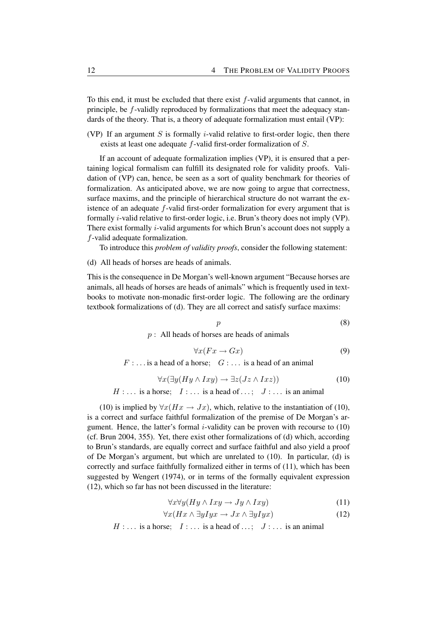To this end, it must be excluded that there exist  $f$ -valid arguments that cannot, in principle, be f-validly reproduced by formalizations that meet the adequacy standards of the theory. That is, a theory of adequate formalization must entail (VP):

(VP) If an argument  $S$  is formally *i*-valid relative to first-order logic, then there exists at least one adequate f-valid first-order formalization of S.

If an account of adequate formalization implies (VP), it is ensured that a pertaining logical formalism can fulfill its designated role for validity proofs. Validation of (VP) can, hence, be seen as a sort of quality benchmark for theories of formalization. As anticipated above, we are now going to argue that correctness, surface maxims, and the principle of hierarchical structure do not warrant the existence of an adequate  $f$ -valid first-order formalization for every argument that is formally *i*-valid relative to first-order logic, i.e. Brun's theory does not imply (VP). There exist formally *i*-valid arguments for which Brun's account does not supply a f-valid adequate formalization.

To introduce this *problem of validity proofs*, consider the following statement:

(d) All heads of horses are heads of animals.

This is the consequence in De Morgan's well-known argument "Because horses are animals, all heads of horses are heads of animals" which is frequently used in textbooks to motivate non-monadic first-order logic. The following are the ordinary textbook formalizations of (d). They are all correct and satisfy surface maxims:

$$
p \tag{8}
$$

p : All heads of horses are heads of animals

$$
\forall x (Fx \to Gx) \tag{9}
$$

 $F: \dots$  is a head of a horse;  $G: \dots$  is a head of an animal

$$
\forall x (\exists y (Hy \land Ixy) \to \exists z (Jz \land Ixz)) \tag{10}
$$

 $H: \ldots$  is a horse;  $I: \ldots$  is a head of  $\ldots$ ;  $J: \ldots$  is an animal

(10) is implied by  $\forall x(Hx \rightarrow Jx)$ , which, relative to the instantiation of (10), is a correct and surface faithful formalization of the premise of De Morgan's argument. Hence, the latter's formal *i*-validity can be proven with recourse to  $(10)$ (cf. Brun 2004, 355). Yet, there exist other formalizations of (d) which, according to Brun's standards, are equally correct and surface faithful and also yield a proof of De Morgan's argument, but which are unrelated to (10). In particular, (d) is correctly and surface faithfully formalized either in terms of (11), which has been suggested by Wengert (1974), or in terms of the formally equivalent expression (12), which so far has not been discussed in the literature:

$$
\forall x \forall y (Hy \land Ixy \to Jy \land Ixy) \tag{11}
$$

$$
\forall x (Hx \land \exists y Iyx \to Jx \land \exists y Iyx)
$$
 (12)

 $H: \ldots$  is a horse;  $I: \ldots$  is a head of  $\ldots$ ;  $J: \ldots$  is an animal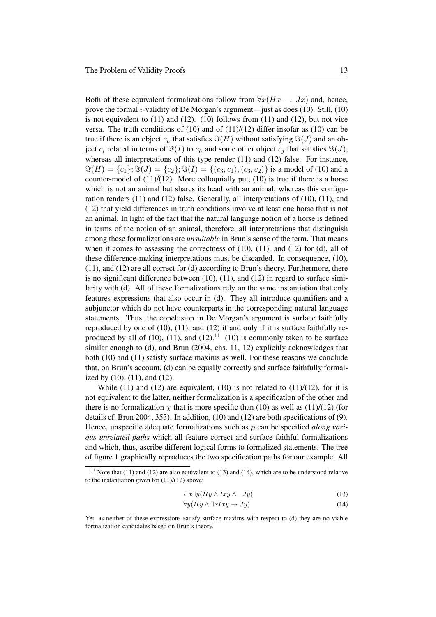Both of these equivalent formalizations follow from  $\forall x(Hx \rightarrow Jx)$  and, hence, prove the formal *i*-validity of De Morgan's argument—just as does  $(10)$ . Still,  $(10)$ is not equivalent to  $(11)$  and  $(12)$ .  $(10)$  follows from  $(11)$  and  $(12)$ , but not vice versa. The truth conditions of  $(10)$  and of  $(11)/(12)$  differ insofar as  $(10)$  can be true if there is an object  $c_h$  that satisfies  $\Im(H)$  without satisfying  $\Im(J)$  and an object  $c_i$  related in terms of  $\Im(I)$  to  $c_h$  and some other object  $c_i$  that satisfies  $\Im(J)$ , whereas all interpretations of this type render (11) and (12) false. For instance,  $\Im(H) = \{c_1\}; \Im(J) = \{c_2\}; \Im(I) = \{(c_3, c_1), (c_3, c_2)\}\$ is a model of (10) and a counter-model of  $(11)/(12)$ . More colloquially put,  $(10)$  is true if there is a horse which is not an animal but shares its head with an animal, whereas this configuration renders (11) and (12) false. Generally, all interpretations of (10), (11), and (12) that yield differences in truth conditions involve at least one horse that is not an animal. In light of the fact that the natural language notion of a horse is defined in terms of the notion of an animal, therefore, all interpretations that distinguish among these formalizations are *unsuitable* in Brun's sense of the term. That means when it comes to assessing the correctness of  $(10)$ ,  $(11)$ , and  $(12)$  for  $(d)$ , all of these difference-making interpretations must be discarded. In consequence, (10), (11), and (12) are all correct for (d) according to Brun's theory. Furthermore, there is no significant difference between (10), (11), and (12) in regard to surface similarity with (d). All of these formalizations rely on the same instantiation that only features expressions that also occur in (d). They all introduce quantifiers and a subjunctor which do not have counterparts in the corresponding natural language statements. Thus, the conclusion in De Morgan's argument is surface faithfully reproduced by one of (10), (11), and (12) if and only if it is surface faithfully reproduced by all of (10), (11), and (12).<sup>11</sup> (10) is commonly taken to be surface similar enough to (d), and Brun (2004, chs. 11, 12) explicitly acknowledges that both (10) and (11) satisfy surface maxims as well. For these reasons we conclude that, on Brun's account, (d) can be equally correctly and surface faithfully formalized by (10), (11), and (12).

While  $(11)$  and  $(12)$  are equivalent,  $(10)$  is not related to  $(11)/(12)$ , for it is not equivalent to the latter, neither formalization is a specification of the other and there is no formalization  $\chi$  that is more specific than (10) as well as (11)/(12) (for details cf. Brun 2004, 353). In addition, (10) and (12) are both specifications of (9). Hence, unspecific adequate formalizations such as p can be specified *along various unrelated paths* which all feature correct and surface faithful formalizations and which, thus, ascribe different logical forms to formalized statements. The tree of figure 1 graphically reproduces the two specification paths for our example. All

$$
\neg \exists x \exists y (Hy \land Ixy \land \neg Jy) \tag{13}
$$

$$
\forall y (Hy \land \exists x Ixy \to Jy) \tag{14}
$$

Yet, as neither of these expressions satisfy surface maxims with respect to (d) they are no viable formalization candidates based on Brun's theory.

<sup>&</sup>lt;sup>11</sup> Note that (11) and (12) are also equivalent to (13) and (14), which are to be understood relative to the instantiation given for  $(11)/(12)$  above: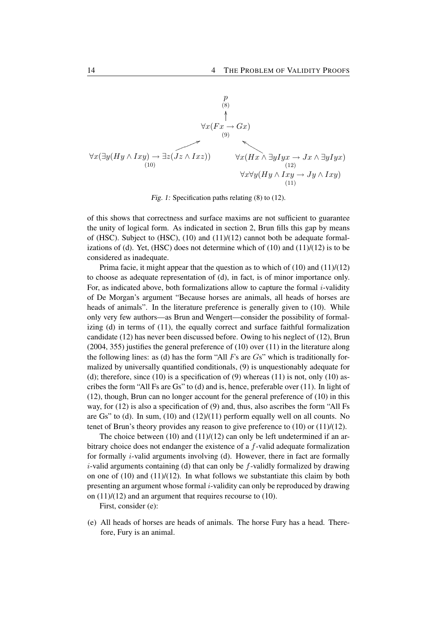

Fig. 1: Specification paths relating (8) to (12).

of this shows that correctness and surface maxims are not sufficient to guarantee the unity of logical form. As indicated in section 2, Brun fills this gap by means of (HSC). Subject to (HSC),  $(10)$  and  $(11)/(12)$  cannot both be adequate formalizations of (d). Yet, (HSC) does not determine which of (10) and  $(11)/(12)$  is to be considered as inadequate.

Prima facie, it might appear that the question as to which of  $(10)$  and  $(11)/(12)$ to choose as adequate representation of (d), in fact, is of minor importance only. For, as indicated above, both formalizations allow to capture the formal i-validity of De Morgan's argument "Because horses are animals, all heads of horses are heads of animals". In the literature preference is generally given to (10). While only very few authors—as Brun and Wengert—consider the possibility of formalizing (d) in terms of (11), the equally correct and surface faithful formalization candidate (12) has never been discussed before. Owing to his neglect of (12), Brun  $(2004, 355)$  justifies the general preference of  $(10)$  over  $(11)$  in the literature along the following lines: as (d) has the form "All  $Fs$  are  $Gs$ " which is traditionally formalized by universally quantified conditionals, (9) is unquestionably adequate for (d); therefore, since  $(10)$  is a specification of  $(9)$  whereas  $(11)$  is not, only  $(10)$  ascribes the form "All Fs are Gs" to (d) and is, hence, preferable over (11). In light of (12), though, Brun can no longer account for the general preference of (10) in this way, for (12) is also a specification of (9) and, thus, also ascribes the form "All Fs are Gs" to (d). In sum,  $(10)$  and  $(12)/(11)$  perform equally well on all counts. No tenet of Brun's theory provides any reason to give preference to (10) or (11)/(12).

The choice between (10) and (11)/(12) can only be left undetermined if an arbitrary choice does not endanger the existence of a f-valid adequate formalization for formally *i*-valid arguments involving (d). However, there in fact are formally  $i$ -valid arguments containing (d) that can only be  $f$ -validly formalized by drawing on one of  $(10)$  and  $(11)/(12)$ . In what follows we substantiate this claim by both presenting an argument whose formal  $i$ -validity can only be reproduced by drawing on  $(11)/(12)$  and an argument that requires recourse to  $(10)$ .

First, consider (e):

(e) All heads of horses are heads of animals. The horse Fury has a head. Therefore, Fury is an animal.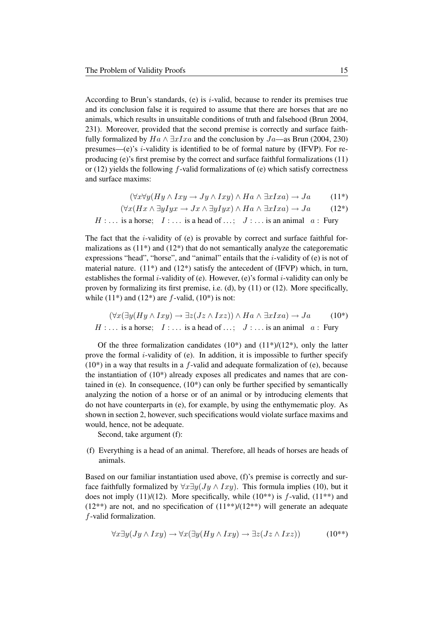According to Brun's standards, (e) is  $i$ -valid, because to render its premises true and its conclusion false it is required to assume that there are horses that are no animals, which results in unsuitable conditions of truth and falsehood (Brun 2004, 231). Moreover, provided that the second premise is correctly and surface faithfully formalized by  $Ha \wedge \exists xIxa$  and the conclusion by  $Ja$ —as Brun (2004, 230) presumes—(e)'s  $i$ -validity is identified to be of formal nature by (IFVP). For reproducing (e)'s first premise by the correct and surface faithful formalizations (11) or  $(12)$  yields the following f-valid formalizations of  $(e)$  which satisfy correctness and surface maxims:

$$
(\forall x \forall y (Hy \land Ixy \to Jy \land Ixy) \land Ha \land \exists x Ixa) \to Ja \tag{11*}
$$

$$
(\forall x (Hx \land \exists y Iyx \to Jx \land \exists y Iyx) \land Ha \land \exists x Ixa) \to Ja \tag{12*}
$$

$$
H:...
$$
 is a horse;  $I:...$  is a head of ...;  $J:...$  is an animal  $a:$  Fury

The fact that the  $i$ -validity of (e) is provable by correct and surface faithful formalizations as  $(11^*)$  and  $(12^*)$  that do not semantically analyze the categorematic expressions "head", "horse", and "animal" entails that the  $i$ -validity of (e) is not of material nature.  $(11^*)$  and  $(12^*)$  satisfy the antecedent of (IFVP) which, in turn, establishes the formal *i*-validity of (e). However, (e)'s formal *i*-validity can only be proven by formalizing its first premise, i.e. (d), by (11) or (12). More specifically, while  $(11^*)$  and  $(12^*)$  are f-valid,  $(10^*)$  is not:

$$
(\forall x (\exists y (Hy \land Ixy) \rightarrow \exists z (Jz \land Ixz)) \land Ha \land \exists x Ixa) \rightarrow Ja \qquad (10^*)
$$
  

$$
H : \dots \text{ is a horse}; \quad I : \dots \text{ is a head of } \dots; \quad J : \dots \text{ is an animal } a : \text{Fury}
$$

Of the three formalization candidates  $(10^*)$  and  $(11^*)/(12^*)$ , only the latter prove the formal  $i$ -validity of (e). In addition, it is impossible to further specify  $(10^*)$  in a way that results in a f-valid and adequate formalization of (e), because the instantiation of (10\*) already exposes all predicates and names that are contained in (e). In consequence, (10\*) can only be further specified by semantically analyzing the notion of a horse or of an animal or by introducing elements that do not have counterparts in (e), for example, by using the enthymematic ploy. As shown in section 2, however, such specifications would violate surface maxims and would, hence, not be adequate.

Second, take argument (f):

(f) Everything is a head of an animal. Therefore, all heads of horses are heads of animals.

Based on our familiar instantiation used above, (f)'s premise is correctly and surface faithfully formalized by  $\forall x \exists y (Jy \land \exists xy)$ . This formula implies (10), but it does not imply (11)/(12). More specifically, while  $(10^{**})$  is f-valid,  $(11^{**})$  and  $(12^{**})$  are not, and no specification of  $(11^{**})/(12^{**})$  will generate an adequate f-valid formalization.

$$
\forall x \exists y (Jy \land \textit{Ixy}) \rightarrow \forall x (\exists y (Hy \land \textit{Ixy}) \rightarrow \exists z (Jz \land \textit{Ixz})) \tag{10**}
$$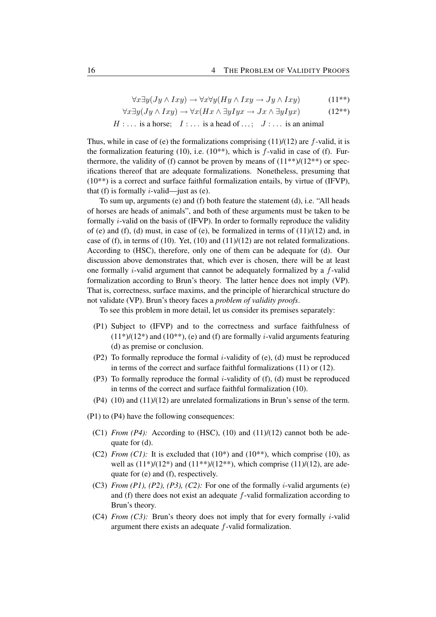$$
\forall x \exists y (Jy \land \textit{Ixy}) \rightarrow \forall x \forall y (Hy \land \textit{Ixy} \rightarrow \textit{Jy} \land \textit{Ixy}) \tag{11**}
$$

$$
\forall x \exists y (Jy \land Ixy) \rightarrow \forall x (Hx \land \exists y Iyx \rightarrow Jx \land \exists y Iyx)
$$
 (12\*\*)

 $H: \ldots$  is a horse;  $I: \ldots$  is a head of  $\ldots$ ;  $J: \ldots$  is an animal

Thus, while in case of (e) the formalizations comprising  $(11)/(12)$  are f-valid, it is the formalization featuring (10), i.e.  $(10^{**})$ , which is f-valid in case of (f). Furthermore, the validity of (f) cannot be proven by means of  $(11^{**})/(12^{**})$  or specifications thereof that are adequate formalizations. Nonetheless, presuming that  $(10^{**})$  is a correct and surface faithful formalization entails, by virtue of  $(IFVP)$ , that (f) is formally *i*-valid—just as (e).

To sum up, arguments (e) and (f) both feature the statement (d), i.e. "All heads of horses are heads of animals", and both of these arguments must be taken to be formally i-valid on the basis of (IFVP). In order to formally reproduce the validity of (e) and (f), (d) must, in case of (e), be formalized in terms of  $(11)/(12)$  and, in case of (f), in terms of (10). Yet, (10) and (11)/(12) are not related formalizations. According to (HSC), therefore, only one of them can be adequate for (d). Our discussion above demonstrates that, which ever is chosen, there will be at least one formally i-valid argument that cannot be adequately formalized by a f-valid formalization according to Brun's theory. The latter hence does not imply (VP). That is, correctness, surface maxims, and the principle of hierarchical structure do not validate (VP). Brun's theory faces a *problem of validity proofs*.

To see this problem in more detail, let us consider its premises separately:

- (P1) Subject to (IFVP) and to the correctness and surface faithfulness of  $(11^*)/(12^*)$  and  $(10^{**})$ , (e) and (f) are formally *i*-valid arguments featuring (d) as premise or conclusion.
- (P2) To formally reproduce the formal *i*-validity of (e), (d) must be reproduced in terms of the correct and surface faithful formalizations (11) or (12).
- (P3) To formally reproduce the formal  $i$ -validity of (f), (d) must be reproduced in terms of the correct and surface faithful formalization (10).
- $(P4)$  (10) and  $(11)/(12)$  are unrelated formalizations in Brun's sense of the term.
- (P1) to (P4) have the following consequences:
	- (C1) *From (P4):* According to (HSC), (10) and (11)/(12) cannot both be adequate for (d).
	- (C2) *From (C1)*: It is excluded that  $(10^*)$  and  $(10^{**})$ , which comprise (10), as well as  $(11^*)/(12^*)$  and  $(11^{**})/(12^{**})$ , which comprise  $(11)/(12)$ , are adequate for (e) and (f), respectively.
	- (C3) *From (P1), (P2), (P3), (C2)*: For one of the formally *i*-valid arguments (e) and (f) there does not exist an adequate f-valid formalization according to Brun's theory.
	- (C4) *From (C3):* Brun's theory does not imply that for every formally i-valid argument there exists an adequate f-valid formalization.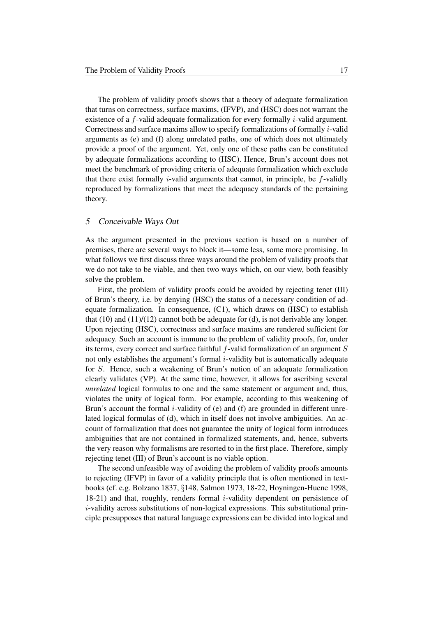The problem of validity proofs shows that a theory of adequate formalization that turns on correctness, surface maxims, (IFVP), and (HSC) does not warrant the existence of a  $f$ -valid adequate formalization for every formally *i*-valid argument. Correctness and surface maxims allow to specify formalizations of formally i-valid arguments as (e) and (f) along unrelated paths, one of which does not ultimately provide a proof of the argument. Yet, only one of these paths can be constituted by adequate formalizations according to (HSC). Hence, Brun's account does not meet the benchmark of providing criteria of adequate formalization which exclude that there exist formally *i*-valid arguments that cannot, in principle, be  $f$ -validly reproduced by formalizations that meet the adequacy standards of the pertaining theory.

#### 5 Conceivable Ways Out

As the argument presented in the previous section is based on a number of premises, there are several ways to block it—some less, some more promising. In what follows we first discuss three ways around the problem of validity proofs that we do not take to be viable, and then two ways which, on our view, both feasibly solve the problem.

First, the problem of validity proofs could be avoided by rejecting tenet (III) of Brun's theory, i.e. by denying (HSC) the status of a necessary condition of adequate formalization. In consequence, (C1), which draws on (HSC) to establish that  $(10)$  and  $(11)/(12)$  cannot both be adequate for  $(d)$ , is not derivable any longer. Upon rejecting (HSC), correctness and surface maxims are rendered sufficient for adequacy. Such an account is immune to the problem of validity proofs, for, under its terms, every correct and surface faithful  $f$ -valid formalization of an argument  $S$ not only establishes the argument's formal  $i$ -validity but is automatically adequate for S. Hence, such a weakening of Brun's notion of an adequate formalization clearly validates (VP). At the same time, however, it allows for ascribing several *unrelated* logical formulas to one and the same statement or argument and, thus, violates the unity of logical form. For example, according to this weakening of Brun's account the formal *i*-validity of (e) and (f) are grounded in different unrelated logical formulas of (d), which in itself does not involve ambiguities. An account of formalization that does not guarantee the unity of logical form introduces ambiguities that are not contained in formalized statements, and, hence, subverts the very reason why formalisms are resorted to in the first place. Therefore, simply rejecting tenet (III) of Brun's account is no viable option.

The second unfeasible way of avoiding the problem of validity proofs amounts to rejecting (IFVP) in favor of a validity principle that is often mentioned in textbooks (cf. e.g. Bolzano 1837, §148, Salmon 1973, 18-22, Hoyningen-Huene 1998, 18-21) and that, roughly, renders formal  $i$ -validity dependent on persistence of i-validity across substitutions of non-logical expressions. This substitutional principle presupposes that natural language expressions can be divided into logical and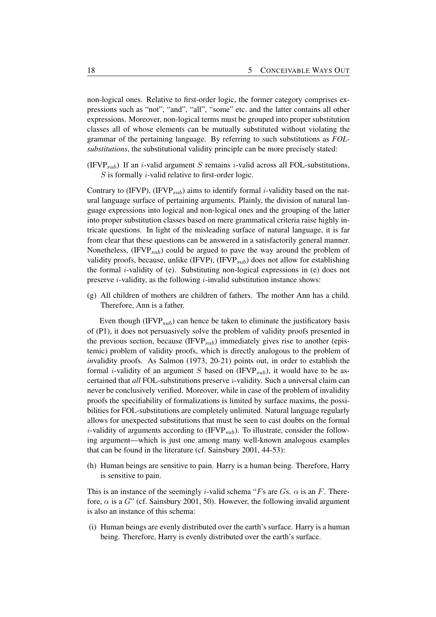non-logical ones. Relative to first-order logic, the former category comprises expressions such as "not", "and", "all", "some" etc. and the latter contains all other expressions. Moreover, non-logical terms must be grouped into proper substitution classes all of whose elements can be mutually substituted without violating the grammar of the pertaining language. By referring to such substitutions as *FOLsubstitutions*, the substitutional validity principle can be more precisely stated:

(IFVP<sub>sub</sub>) If an *i*-valid argument S remains *i*-valid across all FOL-substitutions,  $S$  is formally *i*-valid relative to first-order logic.

Contrary to (IFVP), (IFVP<sub>sub</sub>) aims to identify formal *i*-validity based on the natural language surface of pertaining arguments. Plainly, the division of natural language expressions into logical and non-logical ones and the grouping of the latter into proper substitution classes based on mere grammatical criteria raise highly intricate questions. In light of the misleading surface of natural language, it is far from clear that these questions can be answered in a satisfactorily general manner. Nonetheless,  $(IFVP_{sub})$  could be argued to pave the way around the problem of validity proofs, because, unlike (IFVP),  $(IFVP_{sub})$  does not allow for establishing the formal  $i$ -validity of (e). Substituting non-logical expressions in (e) does not preserve *i*-validity, as the following *i*-invalid substitution instance shows:

(g) All children of mothers are children of fathers. The mother Ann has a child. Therefore, Ann is a father.

Even though (IFVP<sub>sub</sub>) can hence be taken to eliminate the justificatory basis of (P1), it does not persuasively solve the problem of validity proofs presented in the previous section, because  $(IFVP_{sub})$  immediately gives rise to another (epistemic) problem of validity proofs, which is directly analogous to the problem of *in*validity proofs. As Salmon (1973, 20-21) points out, in order to establish the formal *i*-validity of an argument S based on (IFVP<sub>sub</sub>), it would have to be ascertained that *all* FOL-substitutions preserve *i*-validity. Such a universal claim can never be conclusively verified. Moreover, while in case of the problem of invalidity proofs the specifiability of formalizations is limited by surface maxims, the possibilities for FOL-substitutions are completely unlimited. Natural language regularly allows for unexpected substitutions that must be seen to cast doubts on the formal *i*-validity of arguments according to  $(IFVP_{sub})$ . To illustrate, consider the following argument—which is just one among many well-known analogous examples that can be found in the literature (cf. Sainsbury 2001, 44-53):

(h) Human beings are sensitive to pain. Harry is a human being. Therefore, Harry is sensitive to pain.

This is an instance of the seemingly *i*-valid schema "Fs are  $Gs$ .  $\alpha$  is an F. Therefore,  $\alpha$  is a G" (cf. Sainsbury 2001, 50). However, the following invalid argument is also an instance of this schema:

(i) Human beings are evenly distributed over the earth's surface. Harry is a human being. Therefore, Harry is evenly distributed over the earth's surface.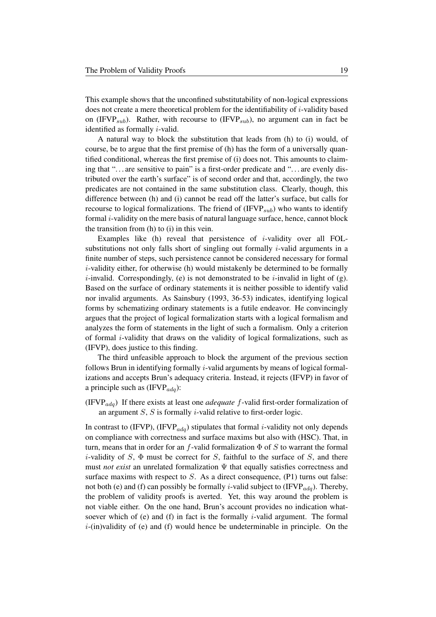This example shows that the unconfined substitutability of non-logical expressions does not create a mere theoretical problem for the identifiability of *i*-validity based on (IFVP<sub>sub</sub>). Rather, with recourse to (IFVP<sub>sub</sub>), no argument can in fact be identified as formally i-valid.

A natural way to block the substitution that leads from (h) to (i) would, of course, be to argue that the first premise of (h) has the form of a universally quantified conditional, whereas the first premise of (i) does not. This amounts to claiming that "... are sensitive to pain" is a first-order predicate and "... are evenly distributed over the earth's surface" is of second order and that, accordingly, the two predicates are not contained in the same substitution class. Clearly, though, this difference between (h) and (i) cannot be read off the latter's surface, but calls for recourse to logical formalizations. The friend of  $(IFVP_{sub})$  who wants to identify formal *i*-validity on the mere basis of natural language surface, hence, cannot block the transition from (h) to (i) in this vein.

Examples like (h) reveal that persistence of  $i$ -validity over all FOLsubstitutions not only falls short of singling out formally  $i$ -valid arguments in a finite number of steps, such persistence cannot be considered necessary for formal i-validity either, for otherwise (h) would mistakenly be determined to be formally *i*-invalid. Correspondingly, (e) is not demonstrated to be *i*-invalid in light of (g). Based on the surface of ordinary statements it is neither possible to identify valid nor invalid arguments. As Sainsbury (1993, 36-53) indicates, identifying logical forms by schematizing ordinary statements is a futile endeavor. He convincingly argues that the project of logical formalization starts with a logical formalism and analyzes the form of statements in the light of such a formalism. Only a criterion of formal  $i$ -validity that draws on the validity of logical formalizations, such as (IFVP), does justice to this finding.

The third unfeasible approach to block the argument of the previous section follows Brun in identifying formally *i*-valid arguments by means of logical formalizations and accepts Brun's adequacy criteria. Instead, it rejects (IFVP) in favor of a principle such as  $(IFVP_{adq})$ :

(IFVPadq) If there exists at least one *adequate* f-valid first-order formalization of an argument  $S$ ,  $S$  is formally *i*-valid relative to first-order logic.

In contrast to (IFVP), (IFVP $_{adq}$ ) stipulates that formal *i*-validity not only depends on compliance with correctness and surface maxims but also with (HSC). That, in turn, means that in order for an f-valid formalization  $\Phi$  of S to warrant the formal *i*-validity of S,  $\Phi$  must be correct for S, faithful to the surface of S, and there must *not exist* an unrelated formalization Ψ that equally satisfies correctness and surface maxims with respect to  $S$ . As a direct consequence,  $(P1)$  turns out false: not both (e) and (f) can possibly be formally *i*-valid subject to (IFVP<sub>ada</sub>). Thereby, the problem of validity proofs is averted. Yet, this way around the problem is not viable either. On the one hand, Brun's account provides no indication whatsoever which of  $(e)$  and  $(f)$  in fact is the formally *i*-valid argument. The formal  $i$ -(in)validity of (e) and (f) would hence be undeterminable in principle. On the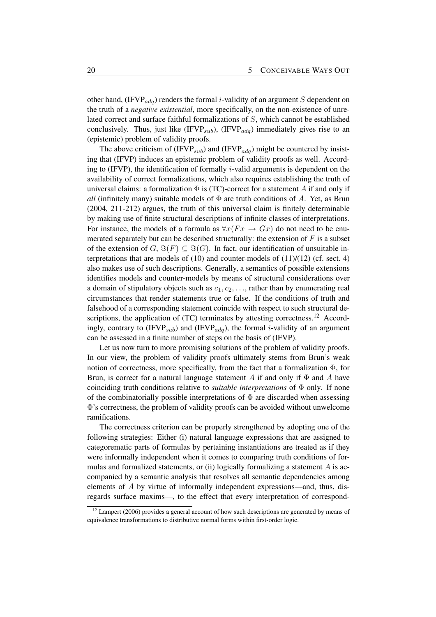other hand, (IFVP<sub>ada</sub>) renders the formal *i*-validity of an argument S dependent on the truth of a *negative existential*, more specifically, on the non-existence of unrelated correct and surface faithful formalizations of  $S$ , which cannot be established conclusively. Thus, just like (IFVP<sub>sub</sub>), (IFVP<sub>adq</sub>) immediately gives rise to an (epistemic) problem of validity proofs.

The above criticism of  $(IFVP_{sub})$  and  $(IFVP_{ada})$  might be countered by insisting that (IFVP) induces an epistemic problem of validity proofs as well. According to (IFVP), the identification of formally  $i$ -valid arguments is dependent on the availability of correct formalizations, which also requires establishing the truth of universal claims: a formalization  $\Phi$  is (TC)-correct for a statement A if and only if *all* (infinitely many) suitable models of  $\Phi$  are truth conditions of A. Yet, as Brun (2004, 211-212) argues, the truth of this universal claim is finitely determinable by making use of finite structural descriptions of infinite classes of interpretations. For instance, the models of a formula as  $\forall x (Fx \rightarrow Gx)$  do not need to be enumerated separately but can be described structurally: the extension of  $F$  is a subset of the extension of  $G, \Im(F) \subseteq \Im(G)$ . In fact, our identification of unsuitable interpretations that are models of  $(10)$  and counter-models of  $(11)/(12)$  (cf. sect. 4) also makes use of such descriptions. Generally, a semantics of possible extensions identifies models and counter-models by means of structural considerations over a domain of stipulatory objects such as  $c_1, c_2, \ldots$ , rather than by enumerating real circumstances that render statements true or false. If the conditions of truth and falsehood of a corresponding statement coincide with respect to such structural descriptions, the application of  $(TC)$  terminates by attesting correctness.<sup>12</sup> Accordingly, contrary to  $(IFVP<sub>sub</sub>)$  and  $(IFVP<sub>ada</sub>)$ , the formal *i*-validity of an argument can be assessed in a finite number of steps on the basis of (IFVP).

Let us now turn to more promising solutions of the problem of validity proofs. In our view, the problem of validity proofs ultimately stems from Brun's weak notion of correctness, more specifically, from the fact that a formalization  $\Phi$ , for Brun, is correct for a natural language statement A if and only if  $\Phi$  and A have coinciding truth conditions relative to *suitable interpretations* of Φ only. If none of the combinatorially possible interpretations of  $\Phi$  are discarded when assessing Φ's correctness, the problem of validity proofs can be avoided without unwelcome ramifications.

The correctness criterion can be properly strengthened by adopting one of the following strategies: Either (i) natural language expressions that are assigned to categorematic parts of formulas by pertaining instantiations are treated as if they were informally independent when it comes to comparing truth conditions of formulas and formalized statements, or (ii) logically formalizing a statement  $A$  is accompanied by a semantic analysis that resolves all semantic dependencies among elements of A by virtue of informally independent expressions—and, thus, disregards surface maxims—, to the effect that every interpretation of correspond-

 $12$  Lampert (2006) provides a general account of how such descriptions are generated by means of equivalence transformations to distributive normal forms within first-order logic.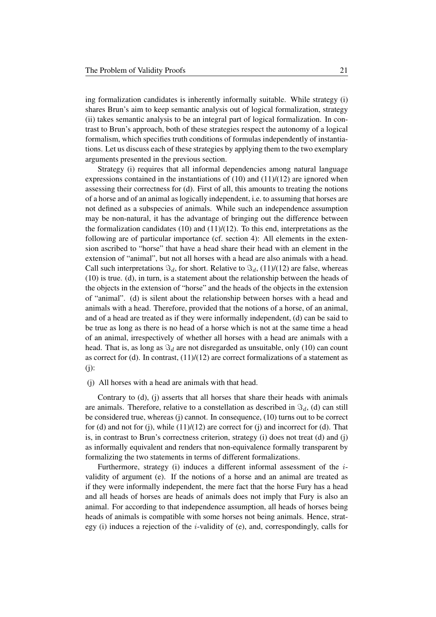ing formalization candidates is inherently informally suitable. While strategy (i) shares Brun's aim to keep semantic analysis out of logical formalization, strategy (ii) takes semantic analysis to be an integral part of logical formalization. In contrast to Brun's approach, both of these strategies respect the autonomy of a logical formalism, which specifies truth conditions of formulas independently of instantiations. Let us discuss each of these strategies by applying them to the two exemplary arguments presented in the previous section.

Strategy (i) requires that all informal dependencies among natural language expressions contained in the instantiations of  $(10)$  and  $(11)/(12)$  are ignored when assessing their correctness for (d). First of all, this amounts to treating the notions of a horse and of an animal as logically independent, i.e. to assuming that horses are not defined as a subspecies of animals. While such an independence assumption may be non-natural, it has the advantage of bringing out the difference between the formalization candidates  $(10)$  and  $(11)/(12)$ . To this end, interpretations as the following are of particular importance (cf. section 4): All elements in the extension ascribed to "horse" that have a head share their head with an element in the extension of "animal", but not all horses with a head are also animals with a head. Call such interpretations  $\Im_d$ , for short. Relative to  $\Im_d$ , (11)/(12) are false, whereas (10) is true. (d), in turn, is a statement about the relationship between the heads of the objects in the extension of "horse" and the heads of the objects in the extension of "animal". (d) is silent about the relationship between horses with a head and animals with a head. Therefore, provided that the notions of a horse, of an animal, and of a head are treated as if they were informally independent, (d) can be said to be true as long as there is no head of a horse which is not at the same time a head of an animal, irrespectively of whether all horses with a head are animals with a head. That is, as long as  $\Im_d$  are not disregarded as unsuitable, only (10) can count as correct for (d). In contrast,  $(11)/(12)$  are correct formalizations of a statement as (j):

### (j) All horses with a head are animals with that head.

Contrary to (d), (j) asserts that all horses that share their heads with animals are animals. Therefore, relative to a constellation as described in  $\Im_{d}$ , (d) can still be considered true, whereas (j) cannot. In consequence, (10) turns out to be correct for (d) and not for (j), while  $(11)/(12)$  are correct for (j) and incorrect for (d). That is, in contrast to Brun's correctness criterion, strategy (i) does not treat (d) and (j) as informally equivalent and renders that non-equivalence formally transparent by formalizing the two statements in terms of different formalizations.

Furthermore, strategy (i) induces a different informal assessment of the ivalidity of argument (e). If the notions of a horse and an animal are treated as if they were informally independent, the mere fact that the horse Fury has a head and all heads of horses are heads of animals does not imply that Fury is also an animal. For according to that independence assumption, all heads of horses being heads of animals is compatible with some horses not being animals. Hence, strategy (i) induces a rejection of the *i*-validity of (e), and, correspondingly, calls for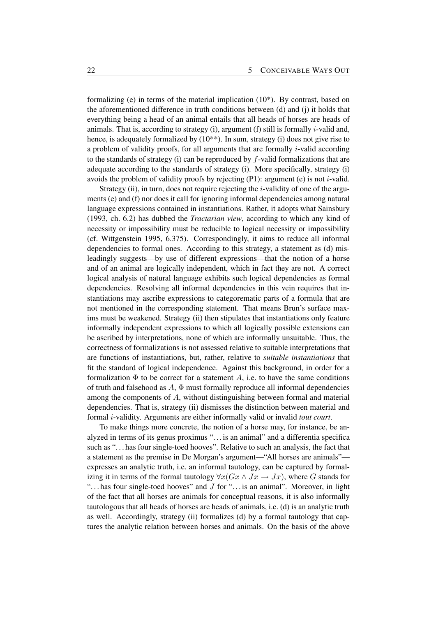formalizing (e) in terms of the material implication  $(10^*)$ . By contrast, based on the aforementioned difference in truth conditions between (d) and (j) it holds that everything being a head of an animal entails that all heads of horses are heads of animals. That is, according to strategy (i), argument (f) still is formally *i*-valid and, hence, is adequately formalized by  $(10^{**})$ . In sum, strategy (i) does not give rise to a problem of validity proofs, for all arguments that are formally  $i$ -valid according to the standards of strategy  $(i)$  can be reproduced by  $f$ -valid formalizations that are adequate according to the standards of strategy (i). More specifically, strategy (i) avoids the problem of validity proofs by rejecting  $(P1)$ : argument  $(e)$  is not *i*-valid.

Strategy (ii), in turn, does not require rejecting the *i*-validity of one of the arguments (e) and (f) nor does it call for ignoring informal dependencies among natural language expressions contained in instantiations. Rather, it adopts what Sainsbury (1993, ch. 6.2) has dubbed the *Tractarian view*, according to which any kind of necessity or impossibility must be reducible to logical necessity or impossibility (cf. Wittgenstein 1995, 6.375). Correspondingly, it aims to reduce all informal dependencies to formal ones. According to this strategy, a statement as (d) misleadingly suggests—by use of different expressions—that the notion of a horse and of an animal are logically independent, which in fact they are not. A correct logical analysis of natural language exhibits such logical dependencies as formal dependencies. Resolving all informal dependencies in this vein requires that instantiations may ascribe expressions to categorematic parts of a formula that are not mentioned in the corresponding statement. That means Brun's surface maxims must be weakened. Strategy (ii) then stipulates that instantiations only feature informally independent expressions to which all logically possible extensions can be ascribed by interpretations, none of which are informally unsuitable. Thus, the correctness of formalizations is not assessed relative to suitable interpretations that are functions of instantiations, but, rather, relative to *suitable instantiations* that fit the standard of logical independence. Against this background, in order for a formalization  $\Phi$  to be correct for a statement A, i.e. to have the same conditions of truth and falsehood as  $A$ ,  $\Phi$  must formally reproduce all informal dependencies among the components of A, without distinguishing between formal and material dependencies. That is, strategy (ii) dismisses the distinction between material and formal i-validity. Arguments are either informally valid or invalid *tout court*.

To make things more concrete, the notion of a horse may, for instance, be analyzed in terms of its genus proximus ". . . is an animal" and a differentia specifica such as "... has four single-toed hooves". Relative to such an analysis, the fact that a statement as the premise in De Morgan's argument—"All horses are animals" expresses an analytic truth, i.e. an informal tautology, can be captured by formalizing it in terms of the formal tautology  $\forall x(Gx \land Jx \rightarrow Jx)$ , where G stands for "... has four single-toed hooves" and  $J$  for "... is an animal". Moreover, in light of the fact that all horses are animals for conceptual reasons, it is also informally tautologous that all heads of horses are heads of animals, i.e. (d) is an analytic truth as well. Accordingly, strategy (ii) formalizes (d) by a formal tautology that captures the analytic relation between horses and animals. On the basis of the above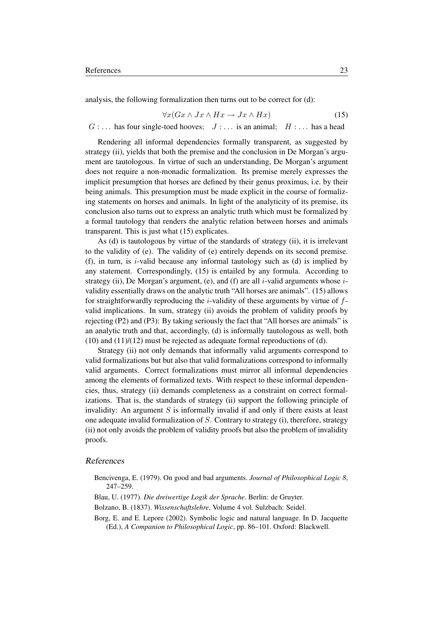analysis, the following formalization then turns out to be correct for (d):

$$
\forall x (Gx \land Jx \land Hx \to Jx \land Hx) \tag{15}
$$

 $G: \ldots$  has four single-toed hooves;  $J: \ldots$  is an animal;  $H: \ldots$  has a head

Rendering all informal dependencies formally transparent, as suggested by strategy (ii), yields that both the premise and the conclusion in De Morgan's argument are tautologous. In virtue of such an understanding, De Morgan's argument does not require a non-monadic formalization. Its premise merely expresses the implicit presumption that horses are defined by their genus proximus, i.e. by their being animals. This presumption must be made explicit in the course of formalizing statements on horses and animals. In light of the analyticity of its premise, its conclusion also turns out to express an analytic truth which must be formalized by a formal tautology that renders the analytic relation between horses and animals transparent. This is just what (15) explicates.

As (d) is tautologous by virtue of the standards of strategy (ii), it is irrelevant to the validity of (e). The validity of (e) entirely depends on its second premise. (f), in turn, is  $i$ -valid because any informal tautology such as (d) is implied by any statement. Correspondingly, (15) is entailed by any formula. According to strategy (ii), De Morgan's argument, (e), and (f) are all  $i$ -valid arguments whose  $i$ validity essentially draws on the analytic truth "All horses are animals". (15) allows for straightforwardly reproducing the *i*-validity of these arguments by virtue of  $f$ valid implications. In sum, strategy (ii) avoids the problem of validity proofs by rejecting (P2) and (P3): By taking seriously the fact that "All horses are animals" is an analytic truth and that, accordingly, (d) is informally tautologous as well, both  $(10)$  and  $(11)/(12)$  must be rejected as adequate formal reproductions of (d).

Strategy (ii) not only demands that informally valid arguments correspond to valid formalizations but but also that valid formalizations correspond to informally valid arguments. Correct formalizations must mirror all informal dependencies among the elements of formalized texts. With respect to these informal dependencies, thus, strategy (ii) demands completeness as a constraint on correct formalizations. That is, the standards of strategy (ii) support the following principle of invalidity: An argument  $S$  is informally invalid if and only if there exists at least one adequate invalid formalization of S. Contrary to strategy (i), therefore, strategy (ii) not only avoids the problem of validity proofs but also the problem of invalidity proofs.

#### References

- Bencivenga, E. (1979). On good and bad arguments. *Journal of Philosophical Logic 8*, 247–259.
- Blau, U. (1977). *Die dreiwertige Logik der Sprache*. Berlin: de Gruyter.
- Bolzano, B. (1837). *Wissenschaftslehre*, Volume 4 vol. Sulzbach: Seidel.
- Borg, E. and E. Lepore (2002). Symbolic logic and natural language. In D. Jacquette (Ed.), *A Companion to Philosophical Logic*, pp. 86–101. Oxford: Blackwell.